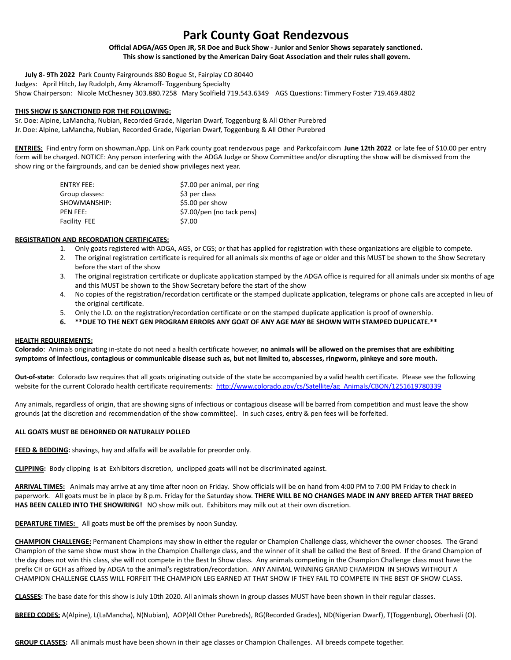# **Park County Goat Rendezvous**

**Official ADGA/AGS Open JR, SR Doe and Buck Show - Junior and Senior Shows separately sanctioned. This show is sanctioned by the American Dairy Goat Association and their rules shall govern.**

**July 8- 9Th 2022** Park County Fairgrounds 880 Bogue St, Fairplay CO 80440 Judges: April Hitch, Jay Rudolph, Amy Akramoff- Toggenburg Specialty

Show Chairperson: Nicole McChesney 303.880.7258 Mary Scolfield 719.543.6349 AGS Questions: Timmery Foster 719.469.4802

# **THIS SHOW IS SANCTIONED FOR THE FOLLOWING:**

Sr. Doe: Alpine, LaMancha, Nubian, Recorded Grade, Nigerian Dwarf, Toggenburg & All Other Purebred Jr. Doe: Alpine, LaMancha, Nubian, Recorded Grade, Nigerian Dwarf, Toggenburg & All Other Purebred

**ENTRIES:** Find entry form on showman.App. Link on Park county goat rendezvous page and Parkcofair.com **June 12th 2022** or late fee of \$10.00 per entry form will be charged. NOTICE: Any person interfering with the ADGA Judge or Show Committee and/or disrupting the show will be dismissed from the show ring or the fairgrounds, and can be denied show privileges next year.

| ENTRY FEE:      | \$7.00 per animal, per ring |
|-----------------|-----------------------------|
| Group classes:  | \$3 per class               |
| SHOWMANSHIP:    | \$5.00 per show             |
| <b>PFN FFF:</b> | \$7.00/pen (no tack pens)   |
| Facility FEE    | \$7.00                      |

# **REGISTRATION AND RECORDATION CERTIFICATES:**

- 1. Only goats registered with ADGA, AGS, or CGS; or that has applied for registration with these organizations are eligible to compete.
- 2. The original registration certificate is required for all animals six months of age or older and this MUST be shown to the Show Secretary before the start of the show
- 3. The original registration certificate or duplicate application stamped by the ADGA office is required for all animals under six months of age and this MUST be shown to the Show Secretary before the start of the show
- 4. No copies of the registration/recordation certificate or the stamped duplicate application, telegrams or phone calls are accepted in lieu of the original certificate.
- 5. Only the I.D. on the registration/recordation certificate or on the stamped duplicate application is proof of ownership.
- **6. \*\*DUE TO THE NEXT GEN PROGRAM ERRORS ANY GOAT OF ANY AGE MAY BE SHOWN WITH STAMPED DUPLICATE.\*\***

# **HEALTH REQUIREMENTS:**

**Colorado**: Animals originating in-state do not need a health certificate however, **no animals will be allowed on the premises that are exhibiting symptoms of infectious, contagious or communicable disease such as, but not limited to, abscesses, ringworm, pinkeye and sore mouth.**

**Out-of-state**: Colorado law requires that all goats originating outside of the state be accompanied by a valid health certificate. Please see the following website for the current Colorado health certificate requirements: [http://www.colorado.gov/cs/Satellite/ag\\_Animals/CBON/1251619780339](http://www.colorado.gov/cs/Satellite/ag_Animals/CBON/1251619780339)

Any animals, regardless of origin, that are showing signs of infectious or contagious disease will be barred from competition and must leave the show grounds (at the discretion and recommendation of the show committee). In such cases, entry & pen fees will be forfeited.

# **ALL GOATS MUST BE DEHORNED OR NATURALLY POLLED**

**FEED & BEDDING:** shavings, hay and alfalfa will be available for preorder only.

**CLIPPING:** Body clipping is at Exhibitors discretion, unclipped goats will not be discriminated against.

**ARRIVAL TIMES:** Animals may arrive at any time after noon on Friday. Show officials will be on hand from 4:00 PM to 7:00 PM Friday to check in paperwork. All goats must be in place by 8 p.m. Friday for the Saturday show. **THERE WILL BE NO CHANGES MADE IN ANY BREED AFTER THAT BREED HAS BEEN CALLED INTO THE SHOWRING!** NO show milk out. Exhibitors may milk out at their own discretion.

**DEPARTURE TIMES:** All goats must be off the premises by noon Sunday.

**CHAMPION CHALLENGE:** Permanent Champions may show in either the regular or Champion Challenge class, whichever the owner chooses. The Grand Champion of the same show must show in the Champion Challenge class, and the winner of it shall be called the Best of Breed. If the Grand Champion of the day does not win this class, she will not compete in the Best In Show class. Any animals competing in the Champion Challenge class must have the prefix CH or GCH as affixed by ADGA to the animal's registration/recordation. ANY ANIMAL WINNING GRAND CHAMPION IN SHOWS WITHOUT A CHAMPION CHALLENGE CLASS WILL FORFEIT THE CHAMPION LEG EARNED AT THAT SHOW IF THEY FAIL TO COMPETE IN THE BEST OF SHOW CLASS.

**CLASSES:** The base date for this show is July 10th 2020. All animals shown in group classes MUST have been shown in their regular classes.

**BREED CODES:** A(Alpine), L(LaMancha), N(Nubian), AOP(All Other Purebreds), RG(Recorded Grades), ND(Nigerian Dwarf), T(Toggenburg), Oberhasli (O).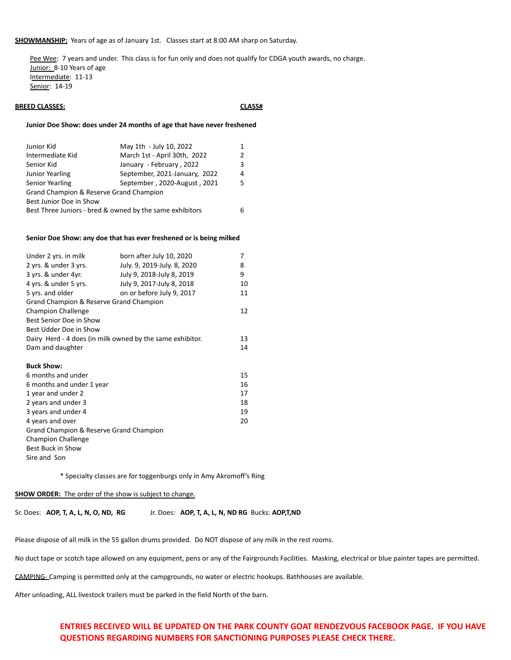**SHOWMANSHIP:** Years of age as of January 1st. Classes start at 8:00 AM sharp on Saturday.

Pee Wee: 7 years and under. This class is for fun only and does not qualify for CDGA youth awards, no charge. Junior: 8-10 Years of age Intermediate: 11-13 Senior: 14-19

# **BREED CLASSES: CLASSES: CLASS#**

#### **Junior Doe Show: does under 24 months of age that have never freshened**

| Junior Kid                                               | May 1th - July 10, 2022       | 1.            |
|----------------------------------------------------------|-------------------------------|---------------|
| Intermediate Kid                                         | March 1st - April 30th, 2022  | $\mathcal{P}$ |
| Senior Kid                                               | January - February, 2022      | ર             |
| Junior Yearling                                          | September, 2021-January, 2022 | 4             |
| Senior Yearling                                          | September, 2020-August, 2021  | 5.            |
| Grand Champion & Reserve Grand Champion                  |                               |               |
| Best Junior Doe in Show                                  |                               |               |
| Best Three Juniors - bred & owned by the same exhibitors |                               | 6             |

### **Senior Doe Show: any doe that has ever freshened or is being milked**

| Under 2 yrs. in milk                                      | born after July 10, 2020    | 7  |
|-----------------------------------------------------------|-----------------------------|----|
| 2 yrs. & under 3 yrs.                                     | July. 9, 2019-July. 8, 2020 | 8  |
| 3 yrs. & under 4yr.                                       | July 9, 2018-July 8, 2019   | 9  |
| 4 yrs. & under 5 yrs.                                     | July 9, 2017-July 8, 2018   | 10 |
| 5 yrs. and older                                          | on or before July 9, 2017   | 11 |
| Grand Champion & Reserve Grand Champion                   |                             |    |
| <b>Champion Challenge</b>                                 |                             | 12 |
| Best Senior Doe in Show                                   |                             |    |
| Best Udder Doe in Show                                    |                             |    |
| Dairy Herd - 4 does (in milk owned by the same exhibitor. |                             | 13 |
| Dam and daughter                                          |                             | 14 |
|                                                           |                             |    |
| <b>Buck Show:</b>                                         |                             |    |
| 6 months and under                                        |                             | 15 |
| 6 months and under 1 year                                 |                             | 16 |
| 1 year and under 2                                        |                             | 17 |
| 2 years and under 3                                       |                             | 18 |
| 3 years and under 4                                       |                             | 19 |
| 4 years and over                                          |                             | 20 |
| Grand Champion & Reserve Grand Champion                   |                             |    |
| <b>Champion Challenge</b>                                 |                             |    |
| Best Buck in Show                                         |                             |    |
| Sire and Son                                              |                             |    |
|                                                           |                             |    |

\* Specialty classes are for toggenburgs only in Amy Akromoff's Ring

#### **SHOW ORDER:** The order of the show is subject to change.

Sr. Does: **AOP, T, A, L, N, O, ND, RG** Jr. Does: **AOP, T, A, L, N, ND RG** Bucks: **AOP,T,ND**

Please dispose of all milk in the 55 gallon drums provided. Do NOT dispose of any milk in the rest rooms.

No duct tape or scotch tape allowed on any equipment, pens or any of the Fairgrounds Facilities. Masking, electrical or blue painter tapes are permitted.

CAMPING- Camping is permitted only at the campgrounds, no water or electric hookups. Bathhouses are available.

After unloading, ALL livestock trailers must be parked in the field North of the barn.

# **ENTRIES RECEIVED WILL BE UPDATED ON THE PARK COUNTY GOAT RENDEZVOUS FACEBOOK PAGE. IF YOU HAVE QUESTIONS REGARDING NUMBERS FOR SANCTIONING PURPOSES PLEASE CHECK THERE.**